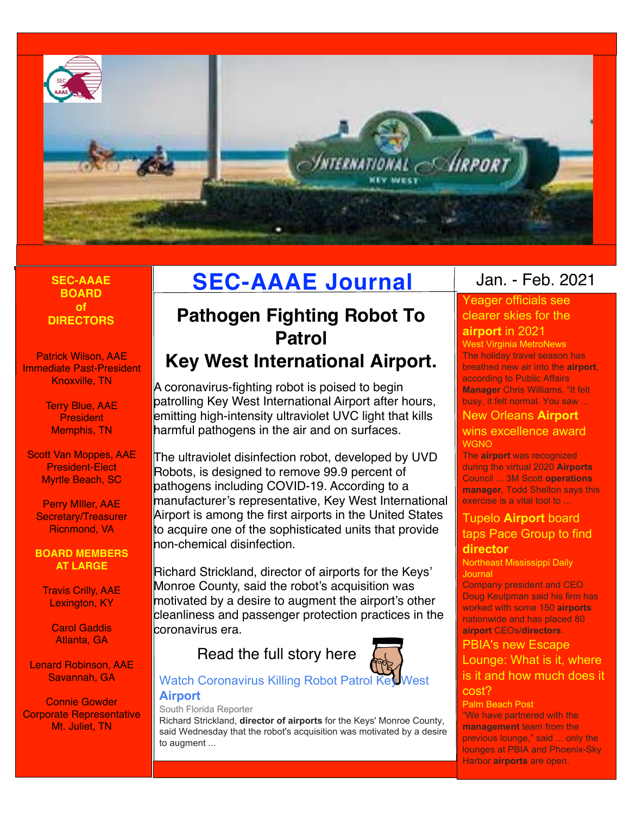

# **BOARD of DIRECTORS**

Patrick Wilson, AAE Immediate Past-President Knoxville, TN

> Terry Blue, AAE **President** Memphis, TN

Scott Van Moppes, AAE President-Elect Myrtle Beach, SC

Perry MIller, AAE Secretary/Treasurer Ricnmond, VA

**BOARD MEMBERS AT LARGE**

Travis Crilly, AAE Lexington, KY

> Carol Gaddis Atlanta, GA

Lenard Robinson, AAE Savannah, GA

Connie Gowder Corporate Representative Mt. Juliet, TN

# **SEC-AAAE SEC-AAAE Journal**

# **Pathogen Fighting Robot To Patrol**

# **Key West International Airport.**

A coronavirus-fighting robot is poised to begin patrolling Key West International Airport after hours, emitting high-intensity ultraviolet UVC light that kills harmful pathogens in the air and on surfaces.

The ultraviolet disinfection robot, developed by UVD Robots, is designed to remove 99.9 percent of pathogens including COVID-19. According to a manufacturer's representative, Key West International Airport is among the first airports in the United States to acquire one of the sophisticated units that provide non-chemical disinfection.

Richard Strickland, director of airports for the Keys' Monroe County, said the robot's acquisition was motivated by a desire to augment the airport's other cleanliness and passenger protection practices in the coronavirus era.

# Read the full story here



# Watch Coronavirus Killing Robot Patrol Key West **[Airport](https://www.google.com/url?rct=j&sa=t&url=https://southfloridareporter.com/watch-coronavirus-killing-robot-patrol-key-west-airport/&ct=ga&cd=CAEYCyoUMTQ4OTU5NzExNjk5MjY4NTIxMjAyHDE0ODBmMGNhZjliMjExMmU6Y29tOmVuOlVTOlI&usg=AFQjCNFococz3BpPwT6mkLX4KO7u6oliLg)**

## South Florida Reporter

Richard Strickland, **director of airports** for the Keys' Monroe County, said Wednesday that the robot's acquisition was motivated by a desire to augment ...

# Jan. - Feb. 2021

# [Yeager officials see](https://www.google.com/url?rct=j&sa=t&url=https://wvmetronews.com/2020/12/29/yeager-officials-see-clearer-skies-for-the-airport-in-2021/&ct=ga&cd=CAEYASoTMzM5MDc2MzU0NzI1NjQ0NjM4MDIcOGVjYjY3MWRlZmVkNjgxZTpjb206ZW46VVM6Ug&usg=AFQjCNF0ZDDulT5638RM-7Wi4TnSyEMy7Q)  [clearer skies for the](https://www.google.com/url?rct=j&sa=t&url=https://wvmetronews.com/2020/12/29/yeager-officials-see-clearer-skies-for-the-airport-in-2021/&ct=ga&cd=CAEYASoTMzM5MDc2MzU0NzI1NjQ0NjM4MDIcOGVjYjY3MWRlZmVkNjgxZTpjb206ZW46VVM6Ug&usg=AFQjCNF0ZDDulT5638RM-7Wi4TnSyEMy7Q)  **[airport](https://www.google.com/url?rct=j&sa=t&url=https://wvmetronews.com/2020/12/29/yeager-officials-see-clearer-skies-for-the-airport-in-2021/&ct=ga&cd=CAEYASoTMzM5MDc2MzU0NzI1NjQ0NjM4MDIcOGVjYjY3MWRlZmVkNjgxZTpjb206ZW46VVM6Ug&usg=AFQjCNF0ZDDulT5638RM-7Wi4TnSyEMy7Q)** [in 2021](https://www.google.com/url?rct=j&sa=t&url=https://wvmetronews.com/2020/12/29/yeager-officials-see-clearer-skies-for-the-airport-in-2021/&ct=ga&cd=CAEYASoTMzM5MDc2MzU0NzI1NjQ0NjM4MDIcOGVjYjY3MWRlZmVkNjgxZTpjb206ZW46VVM6Ug&usg=AFQjCNF0ZDDulT5638RM-7Wi4TnSyEMy7Q)

West Virginia MetroNews The holiday travel season has breathed new air into the **airport**, according to Public Affairs **Manager** Chris Williams. "It felt busy, it felt normal. You saw ...

# [New Orleans](https://www.google.com/url?rct=j&sa=t&url=https://wgno.com/news/louisiana/new-orleans-airport-wins-excellence-award/&ct=ga&cd=CAEYACoUMTQyOTY5Njc5ODE1MTMzNzUwMjYyHDhlY2I2NzFkZWZlZDY4MWU6Y29tOmVuOlVTOlI&usg=AFQjCNEMJR3KgyI3ruN1skfpzLrFkyF1ig) **[Airport](https://www.google.com/url?rct=j&sa=t&url=https://wgno.com/news/louisiana/new-orleans-airport-wins-excellence-award/&ct=ga&cd=CAEYACoUMTQyOTY5Njc5ODE1MTMzNzUwMjYyHDhlY2I2NzFkZWZlZDY4MWU6Y29tOmVuOlVTOlI&usg=AFQjCNEMJR3KgyI3ruN1skfpzLrFkyF1ig)**

#### [wins excellence award](https://www.google.com/url?rct=j&sa=t&url=https://wgno.com/news/louisiana/new-orleans-airport-wins-excellence-award/&ct=ga&cd=CAEYACoUMTQyOTY5Njc5ODE1MTMzNzUwMjYyHDhlY2I2NzFkZWZlZDY4MWU6Y29tOmVuOlVTOlI&usg=AFQjCNEMJR3KgyI3ruN1skfpzLrFkyF1ig) **WGNO**

The **airport** was recognized during the virtual 2020 **Airports** Council ... 3M Scott **operations manager**, Todd Shelton says this exercise is a vital tool to ...

# [Tupelo](https://www.google.com/url?rct=j&sa=t&url=https://www.djournal.com/news/business/tupelo-airport-board-taps-pace-group-to-find-director/article_2ca8ce28-a562-52a3-a52e-fed3cbfd1519.html&ct=ga&cd=CAEYACoTNTczNTYwMzQ1MjI5NDUzNDIxOTIcMTQ4MGYwY2FmOWIyMTEyZTpjb206ZW46VVM6Ug&usg=AFQjCNEtT4JzYmAuvenLuBN8euhDR-8j3A) **[Airport](https://www.google.com/url?rct=j&sa=t&url=https://www.djournal.com/news/business/tupelo-airport-board-taps-pace-group-to-find-director/article_2ca8ce28-a562-52a3-a52e-fed3cbfd1519.html&ct=ga&cd=CAEYACoTNTczNTYwMzQ1MjI5NDUzNDIxOTIcMTQ4MGYwY2FmOWIyMTEyZTpjb206ZW46VVM6Ug&usg=AFQjCNEtT4JzYmAuvenLuBN8euhDR-8j3A)** [board](https://www.google.com/url?rct=j&sa=t&url=https://www.djournal.com/news/business/tupelo-airport-board-taps-pace-group-to-find-director/article_2ca8ce28-a562-52a3-a52e-fed3cbfd1519.html&ct=ga&cd=CAEYACoTNTczNTYwMzQ1MjI5NDUzNDIxOTIcMTQ4MGYwY2FmOWIyMTEyZTpjb206ZW46VVM6Ug&usg=AFQjCNEtT4JzYmAuvenLuBN8euhDR-8j3A)  [taps Pace Group to find](https://www.google.com/url?rct=j&sa=t&url=https://www.djournal.com/news/business/tupelo-airport-board-taps-pace-group-to-find-director/article_2ca8ce28-a562-52a3-a52e-fed3cbfd1519.html&ct=ga&cd=CAEYACoTNTczNTYwMzQ1MjI5NDUzNDIxOTIcMTQ4MGYwY2FmOWIyMTEyZTpjb206ZW46VVM6Ug&usg=AFQjCNEtT4JzYmAuvenLuBN8euhDR-8j3A)  **[director](https://www.google.com/url?rct=j&sa=t&url=https://www.djournal.com/news/business/tupelo-airport-board-taps-pace-group-to-find-director/article_2ca8ce28-a562-52a3-a52e-fed3cbfd1519.html&ct=ga&cd=CAEYACoTNTczNTYwMzQ1MjI5NDUzNDIxOTIcMTQ4MGYwY2FmOWIyMTEyZTpjb206ZW46VVM6Ug&usg=AFQjCNEtT4JzYmAuvenLuBN8euhDR-8j3A)**

Northeast Mississippi Daily **Journal** 

Company president and CEO Doug Keulpman said his firm has worked with some 150 **airports** nationwide and has placed 80 **airport** CEOs/**directors**.

# [PBIA's new Escape](https://www.google.com/url?rct=j&sa=t&url=https://www.palmbeachpost.com/story/news/local/westpb/2020/12/23/pbias-new-escape-lounge-replaces-short-lived-primeclass-lounge/3982695001/&ct=ga&cd=CAEYASoTODQ1MDY1MzI4MzYyNjAxNTcwOTIcMTQ4MGYwY2FmOWIyMTEyZTpjb206ZW46VVM6Ug&usg=AFQjCNHXhHzcy0d9iniqqG_2OfRrgPhUTQ)  [Lounge: What is it, where](https://www.google.com/url?rct=j&sa=t&url=https://www.palmbeachpost.com/story/news/local/westpb/2020/12/23/pbias-new-escape-lounge-replaces-short-lived-primeclass-lounge/3982695001/&ct=ga&cd=CAEYASoTODQ1MDY1MzI4MzYyNjAxNTcwOTIcMTQ4MGYwY2FmOWIyMTEyZTpjb206ZW46VVM6Ug&usg=AFQjCNHXhHzcy0d9iniqqG_2OfRrgPhUTQ)  [is it and how much does it](https://www.google.com/url?rct=j&sa=t&url=https://www.palmbeachpost.com/story/news/local/westpb/2020/12/23/pbias-new-escape-lounge-replaces-short-lived-primeclass-lounge/3982695001/&ct=ga&cd=CAEYASoTODQ1MDY1MzI4MzYyNjAxNTcwOTIcMTQ4MGYwY2FmOWIyMTEyZTpjb206ZW46VVM6Ug&usg=AFQjCNHXhHzcy0d9iniqqG_2OfRrgPhUTQ)  [cost?](https://www.google.com/url?rct=j&sa=t&url=https://www.palmbeachpost.com/story/news/local/westpb/2020/12/23/pbias-new-escape-lounge-replaces-short-lived-primeclass-lounge/3982695001/&ct=ga&cd=CAEYASoTODQ1MDY1MzI4MzYyNjAxNTcwOTIcMTQ4MGYwY2FmOWIyMTEyZTpjb206ZW46VVM6Ug&usg=AFQjCNHXhHzcy0d9iniqqG_2OfRrgPhUTQ)

Palm Beach Post

"We have partnered with the **management** team from the previous lounge," said ... only the lounges at PBIA and Phoenix-Sky Harbor **airports** are open.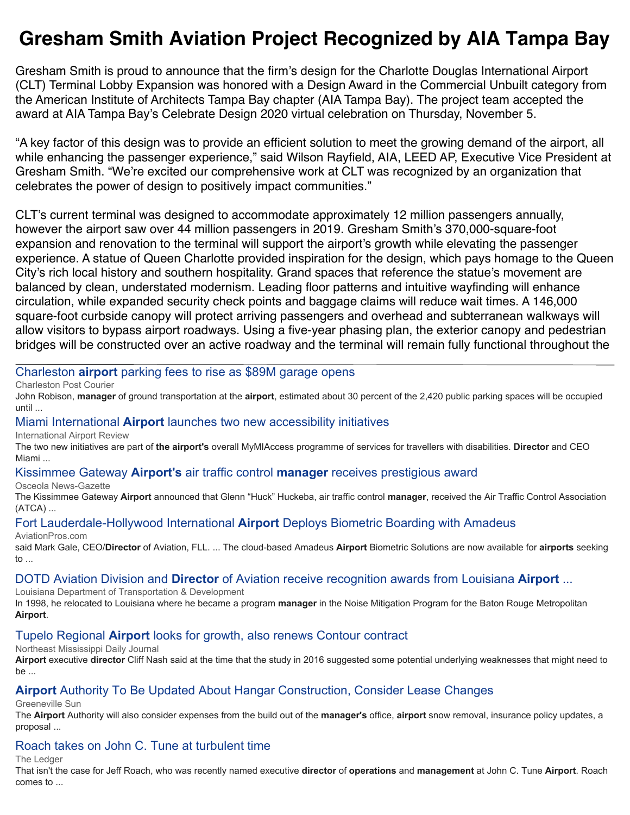# **Gresham Smith Aviation Project Recognized by AIA Tampa Bay**

Gresham Smith is proud to announce that the firm's design for the Charlotte Douglas International Airport (CLT) Terminal Lobby Expansion was honored with a Design Award in the Commercial Unbuilt category from the American Institute of Architects Tampa Bay chapter (AIA Tampa Bay). The project team accepted the award at AIA Tampa Bay's Celebrate Design 2020 virtual celebration on Thursday, November 5.

"A key factor of this design was to provide an efficient solution to meet the growing demand of the airport, all while enhancing the passenger experience," said Wilson Rayfield, AIA, LEED AP, Executive Vice President at Gresham Smith. "We're excited our comprehensive work at CLT was recognized by an organization that celebrates the power of design to positively impact communities."

CLT's current terminal was designed to accommodate approximately 12 million passengers annually, however the airport saw over 44 million passengers in 2019. Gresham Smith's 370,000-square-foot expansion and renovation to the terminal will support the airport's growth while elevating the passenger experience. A statue of Queen Charlotte provided inspiration for the design, which pays homage to the Queen City's rich local history and southern hospitality. Grand spaces that reference the statue's movement are balanced by clean, understated modernism. Leading floor patterns and intuitive wayfinding will enhance circulation, while expanded security check points and baggage claims will reduce wait times. A 146,000 square-foot curbside canopy will protect arriving passengers and overhead and subterranean walkways will allow visitors to bypass airport roadways. Using a five-year phasing plan, the exterior canopy and pedestrian bridges will be constructed over an active roadway and the terminal will remain fully functional throughout the

#### [Charleston](https://www.google.com/url?rct=j&sa=t&url=https://www.postandcourier.com/business/tourism/charleston-airport-parking-fees-to-rise-as-89m-garage-opens-thursday/article_e80aa022-2376-11eb-933f-834ee394dd26.html&ct=ga&cd=CAEYACoUMTMwMDA5MzQ0ODQ2NTI4Mzg5NzAyHDhlY2I2NzFkZWZlZDY4MWU6Y29tOmVuOlVTOlI&usg=AFQjCNGk5pS1gmGaoQR3Y6P0j5vfIXnnCg) **[airport](https://www.google.com/url?rct=j&sa=t&url=https://www.postandcourier.com/business/tourism/charleston-airport-parking-fees-to-rise-as-89m-garage-opens-thursday/article_e80aa022-2376-11eb-933f-834ee394dd26.html&ct=ga&cd=CAEYACoUMTMwMDA5MzQ0ODQ2NTI4Mzg5NzAyHDhlY2I2NzFkZWZlZDY4MWU6Y29tOmVuOlVTOlI&usg=AFQjCNGk5pS1gmGaoQR3Y6P0j5vfIXnnCg)** [parking fees to rise as \\$89M garage opens](https://www.google.com/url?rct=j&sa=t&url=https://www.postandcourier.com/business/tourism/charleston-airport-parking-fees-to-rise-as-89m-garage-opens-thursday/article_e80aa022-2376-11eb-933f-834ee394dd26.html&ct=ga&cd=CAEYACoUMTMwMDA5MzQ0ODQ2NTI4Mzg5NzAyHDhlY2I2NzFkZWZlZDY4MWU6Y29tOmVuOlVTOlI&usg=AFQjCNGk5pS1gmGaoQR3Y6P0j5vfIXnnCg)

Charleston Post Courier

John Robison, **manager** of ground transportation at the **airport**, estimated about 30 percent of the 2,420 public parking spaces will be occupied until ...

#### [Miami International](https://www.google.com/url?rct=j&sa=t&url=https://www.internationalairportreview.com/news/144513/miami-airport-accessibility-initiatives/&ct=ga&cd=CAEYACoTOTcxNjM1NDgxNTYxMjEwNzg5NTIcMTQ4MGYwY2FmOWIyMTEyZTpjb206ZW46VVM6Ug&usg=AFQjCNEtGFJid56UjzX4_KC4sRyJ1iYplg) **[Airport](https://www.google.com/url?rct=j&sa=t&url=https://www.internationalairportreview.com/news/144513/miami-airport-accessibility-initiatives/&ct=ga&cd=CAEYACoTOTcxNjM1NDgxNTYxMjEwNzg5NTIcMTQ4MGYwY2FmOWIyMTEyZTpjb206ZW46VVM6Ug&usg=AFQjCNEtGFJid56UjzX4_KC4sRyJ1iYplg)** [launches two new accessibility initiatives](https://www.google.com/url?rct=j&sa=t&url=https://www.internationalairportreview.com/news/144513/miami-airport-accessibility-initiatives/&ct=ga&cd=CAEYACoTOTcxNjM1NDgxNTYxMjEwNzg5NTIcMTQ4MGYwY2FmOWIyMTEyZTpjb206ZW46VVM6Ug&usg=AFQjCNEtGFJid56UjzX4_KC4sRyJ1iYplg)

International Airport Review

The two new initiatives are part of **the airport's** overall MyMIAccess programme of services for travellers with disabilities. **Director** and CEO Miami ...

#### [Kissimmee Gateway](https://www.google.com/url?rct=j&sa=t&url=https://www.aroundosceola.com/news/kissimmee-gateway-airports-air-traffic-control-manager-receives-prestigious-award&ct=ga&cd=CAEYACoTNDMzMTkxODk5MjIxMjAzNDUxODIcOGVjYjY3MWRlZmVkNjgxZTpjb206ZW46VVM6Ug&usg=AFQjCNFja0lWV_HhHmyWUFiTgvy6MSL89Q) **[Airport's](https://www.google.com/url?rct=j&sa=t&url=https://www.aroundosceola.com/news/kissimmee-gateway-airports-air-traffic-control-manager-receives-prestigious-award&ct=ga&cd=CAEYACoTNDMzMTkxODk5MjIxMjAzNDUxODIcOGVjYjY3MWRlZmVkNjgxZTpjb206ZW46VVM6Ug&usg=AFQjCNFja0lWV_HhHmyWUFiTgvy6MSL89Q)** [air traffic control](https://www.google.com/url?rct=j&sa=t&url=https://www.aroundosceola.com/news/kissimmee-gateway-airports-air-traffic-control-manager-receives-prestigious-award&ct=ga&cd=CAEYACoTNDMzMTkxODk5MjIxMjAzNDUxODIcOGVjYjY3MWRlZmVkNjgxZTpjb206ZW46VVM6Ug&usg=AFQjCNFja0lWV_HhHmyWUFiTgvy6MSL89Q) **[manager](https://www.google.com/url?rct=j&sa=t&url=https://www.aroundosceola.com/news/kissimmee-gateway-airports-air-traffic-control-manager-receives-prestigious-award&ct=ga&cd=CAEYACoTNDMzMTkxODk5MjIxMjAzNDUxODIcOGVjYjY3MWRlZmVkNjgxZTpjb206ZW46VVM6Ug&usg=AFQjCNFja0lWV_HhHmyWUFiTgvy6MSL89Q)** [receives prestigious award](https://www.google.com/url?rct=j&sa=t&url=https://www.aroundosceola.com/news/kissimmee-gateway-airports-air-traffic-control-manager-receives-prestigious-award&ct=ga&cd=CAEYACoTNDMzMTkxODk5MjIxMjAzNDUxODIcOGVjYjY3MWRlZmVkNjgxZTpjb206ZW46VVM6Ug&usg=AFQjCNFja0lWV_HhHmyWUFiTgvy6MSL89Q)

Osceola News-Gazette

The Kissimmee Gateway **Airport** announced that Glenn "Huck" Huckeba, air traffic control **manager**, received the Air Traffic Control Association (ATCA) ...

# [Fort Lauderdale-Hollywood International](https://www.google.com/url?rct=j&sa=t&url=https://www.aviationpros.com/airports/press-release/21162975/amadeus-it-group-sa-fort-lauderdalehollywood-international-airport-deploys-biometric-boarding-with-amadeus&ct=ga&cd=CAEYCSoTNDM3NzU3NjQ5NTE3MzUzNTczOTIcMTQ4MGYwY2FmOWIyMTEyZTpjb206ZW46VVM6Ug&usg=AFQjCNEduuU5x5k6Hgt0dMBmwZazOC67Tw) **[Airport](https://www.google.com/url?rct=j&sa=t&url=https://www.aviationpros.com/airports/press-release/21162975/amadeus-it-group-sa-fort-lauderdalehollywood-international-airport-deploys-biometric-boarding-with-amadeus&ct=ga&cd=CAEYCSoTNDM3NzU3NjQ5NTE3MzUzNTczOTIcMTQ4MGYwY2FmOWIyMTEyZTpjb206ZW46VVM6Ug&usg=AFQjCNEduuU5x5k6Hgt0dMBmwZazOC67Tw)** [Deploys Biometric Boarding with Amadeus](https://www.google.com/url?rct=j&sa=t&url=https://www.aviationpros.com/airports/press-release/21162975/amadeus-it-group-sa-fort-lauderdalehollywood-international-airport-deploys-biometric-boarding-with-amadeus&ct=ga&cd=CAEYCSoTNDM3NzU3NjQ5NTE3MzUzNTczOTIcMTQ4MGYwY2FmOWIyMTEyZTpjb206ZW46VVM6Ug&usg=AFQjCNEduuU5x5k6Hgt0dMBmwZazOC67Tw)

AviationPros.com

said Mark Gale, CEO/**Director** of Aviation, FLL. ... The cloud-based Amadeus **Airport** Biometric Solutions are now available for **airports** seeking to ...

# [DOTD Aviation Division and](https://www.google.com/url?rct=j&sa=t&url=http://wwwapps.dotd.la.gov/administration/announcements/announcement.aspx%3Fkey%3D25187&ct=ga&cd=CAEYAyoTMTg4MjY5NDk4NDg2NDY5MDIzMTIcOGVjYjY3MWRlZmVkNjgxZTpjb206ZW46VVM6Ug&usg=AFQjCNEYFwmFON9jKpX4NEGG9j6ozGUafw) **[Director](https://www.google.com/url?rct=j&sa=t&url=http://wwwapps.dotd.la.gov/administration/announcements/announcement.aspx%3Fkey%3D25187&ct=ga&cd=CAEYAyoTMTg4MjY5NDk4NDg2NDY5MDIzMTIcOGVjYjY3MWRlZmVkNjgxZTpjb206ZW46VVM6Ug&usg=AFQjCNEYFwmFON9jKpX4NEGG9j6ozGUafw)** [of Aviation receive recognition awards from Louisiana](https://www.google.com/url?rct=j&sa=t&url=http://wwwapps.dotd.la.gov/administration/announcements/announcement.aspx%3Fkey%3D25187&ct=ga&cd=CAEYAyoTMTg4MjY5NDk4NDg2NDY5MDIzMTIcOGVjYjY3MWRlZmVkNjgxZTpjb206ZW46VVM6Ug&usg=AFQjCNEYFwmFON9jKpX4NEGG9j6ozGUafw) **[Airport](https://www.google.com/url?rct=j&sa=t&url=http://wwwapps.dotd.la.gov/administration/announcements/announcement.aspx%3Fkey%3D25187&ct=ga&cd=CAEYAyoTMTg4MjY5NDk4NDg2NDY5MDIzMTIcOGVjYjY3MWRlZmVkNjgxZTpjb206ZW46VVM6Ug&usg=AFQjCNEYFwmFON9jKpX4NEGG9j6ozGUafw)** [...](https://www.google.com/url?rct=j&sa=t&url=http://wwwapps.dotd.la.gov/administration/announcements/announcement.aspx%3Fkey%3D25187&ct=ga&cd=CAEYAyoTMTg4MjY5NDk4NDg2NDY5MDIzMTIcOGVjYjY3MWRlZmVkNjgxZTpjb206ZW46VVM6Ug&usg=AFQjCNEYFwmFON9jKpX4NEGG9j6ozGUafw)

Louisiana Department of Transportation & Development

In 1998, he relocated to Louisiana where he became a program **manager** in the Noise Mitigation Program for the Baton Rouge Metropolitan **Airport**.

# [Tupelo Regional](https://www.google.com/url?rct=j&sa=t&url=https://www.djournal.com/mbj/tupelo-regional-airport-looks-for-growth-also-renews-contour-contract/article_48facd18-28fd-11eb-a2a2-9bc966bcd46e.html&ct=ga&cd=CAEYAioTNDM3NzU3NjQ5NTE3MzUzNTczOTIcMTQ4MGYwY2FmOWIyMTEyZTpjb206ZW46VVM6Ug&usg=AFQjCNFi3-kVkBq1i8CC_ruHnyfcc8TAQA) **[Airport](https://www.google.com/url?rct=j&sa=t&url=https://www.djournal.com/mbj/tupelo-regional-airport-looks-for-growth-also-renews-contour-contract/article_48facd18-28fd-11eb-a2a2-9bc966bcd46e.html&ct=ga&cd=CAEYAioTNDM3NzU3NjQ5NTE3MzUzNTczOTIcMTQ4MGYwY2FmOWIyMTEyZTpjb206ZW46VVM6Ug&usg=AFQjCNFi3-kVkBq1i8CC_ruHnyfcc8TAQA)** [looks for growth, also renews Contour contract](https://www.google.com/url?rct=j&sa=t&url=https://www.djournal.com/mbj/tupelo-regional-airport-looks-for-growth-also-renews-contour-contract/article_48facd18-28fd-11eb-a2a2-9bc966bcd46e.html&ct=ga&cd=CAEYAioTNDM3NzU3NjQ5NTE3MzUzNTczOTIcMTQ4MGYwY2FmOWIyMTEyZTpjb206ZW46VVM6Ug&usg=AFQjCNFi3-kVkBq1i8CC_ruHnyfcc8TAQA)

Northeast Mississippi Daily Journal

**Airport** executive **director** Cliff Nash said at the time that the study in 2016 suggested some potential underlying weaknesses that might need to be ...

# **[Airport](https://www.google.com/url?rct=j&sa=t&url=https://www.greenevillesun.com/news/local_news/airport-authority-to-be-updated-about-hangar-construction-consider-lease-changes/article_14525063-b8bb-5545-82c9-9476ff4ce6a8.html&ct=ga&cd=CAEYACoUMTI3OTQ0Njk4NzM1MzUyNzAyODgyHDhlY2I2NzFkZWZlZDY4MWU6Y29tOmVuOlVTOlI&usg=AFQjCNEwutZ0b-wbDCj15mAR8cU4n3s2Bw)** [Authority To Be Updated About Hangar Construction, Consider Lease Changes](https://www.google.com/url?rct=j&sa=t&url=https://www.greenevillesun.com/news/local_news/airport-authority-to-be-updated-about-hangar-construction-consider-lease-changes/article_14525063-b8bb-5545-82c9-9476ff4ce6a8.html&ct=ga&cd=CAEYACoUMTI3OTQ0Njk4NzM1MzUyNzAyODgyHDhlY2I2NzFkZWZlZDY4MWU6Y29tOmVuOlVTOlI&usg=AFQjCNEwutZ0b-wbDCj15mAR8cU4n3s2Bw)

Greeneville Sun

The **Airport** Authority will also consider expenses from the build out of the **manager's** office, **airport** snow removal, insurance policy updates, a proposal ...

# [Roach takes on John C. Tune at turbulent time](https://www.google.com/url?rct=j&sa=t&url=http://www.tnledger.com/editorial/Article.aspx%3Fid%3D135868&ct=ga&cd=CAEYAioUMTI3OTQ0Njk4NzM1MzUyNzAyODgyHDhlY2I2NzFkZWZlZDY4MWU6Y29tOmVuOlVTOlI&usg=AFQjCNHBqwbb49flSDMqoYDHqf9ekuPAOg)

The Ledger

That isn't the case for Jeff Roach, who was recently named executive **director** of **operations** and **management** at John C. Tune **Airport**. Roach comes to ...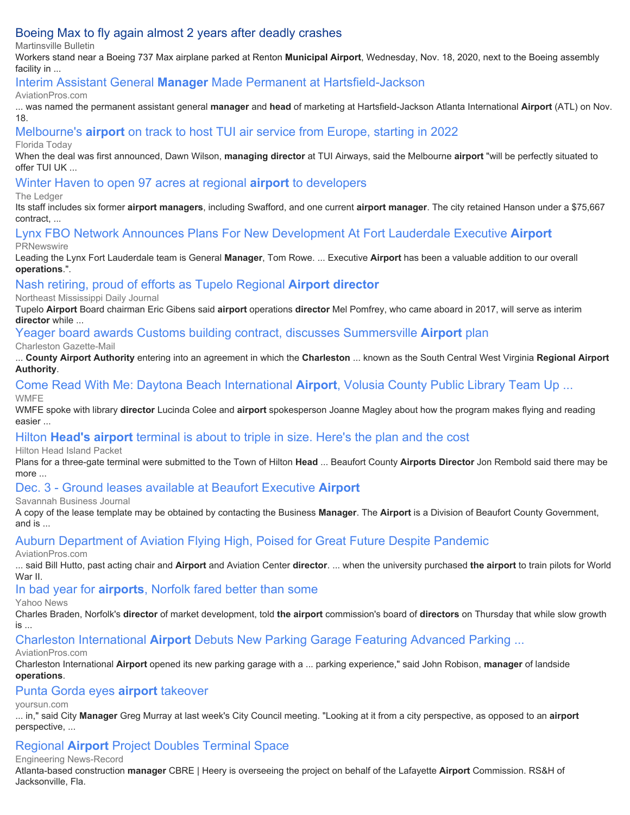# [Boeing Max to fly again almost 2 years after deadly crashes](https://www.google.com/url?rct=j&sa=t&url=https://martinsvillebulletin.com/news/national/boeing-max-to-fly-again-almost-2-years-after-deadly-crashes/article_b54b7fc9-f85b-5226-9566-a3c39a134c61.html&ct=ga&cd=CAEYCioUMTA0MDcwMTE5OTU0MDY5MTk1NDkyGjEyYzMwOTdlZDc1NDlmN2U6Y29tOmVuOlVT&usg=AFQjCNHiuyUGEfmuNBqeEnYvpDL8TBQBzA)

Martinsville Bulletin

Workers stand near a Boeing 737 Max airplane parked at Renton **Municipal Airport**, Wednesday, Nov. 18, 2020, next to the Boeing assembly facility in ...

# [Interim Assistant General](https://www.google.com/url?rct=j&sa=t&url=https://www.aviationpros.com/airports/press-release/21163914/hartsfieldjackson-atlanta-international-airport-atl-interim-assistant-general-manager-made-permanent-at-hartsfieldjackson&ct=ga&cd=CAEYACoTNTA3ODAxMzAxOTQ3OTU2NDYyMTIcOGVjYjY3MWRlZmVkNjgxZTpjb206ZW46VVM6Ug&usg=AFQjCNEa5PMQWLNhkKdm2wW3Z14iHj2dpA) **[Manager](https://www.google.com/url?rct=j&sa=t&url=https://www.aviationpros.com/airports/press-release/21163914/hartsfieldjackson-atlanta-international-airport-atl-interim-assistant-general-manager-made-permanent-at-hartsfieldjackson&ct=ga&cd=CAEYACoTNTA3ODAxMzAxOTQ3OTU2NDYyMTIcOGVjYjY3MWRlZmVkNjgxZTpjb206ZW46VVM6Ug&usg=AFQjCNEa5PMQWLNhkKdm2wW3Z14iHj2dpA)** [Made Permanent at Hartsfield-Jackson](https://www.google.com/url?rct=j&sa=t&url=https://www.aviationpros.com/airports/press-release/21163914/hartsfieldjackson-atlanta-international-airport-atl-interim-assistant-general-manager-made-permanent-at-hartsfieldjackson&ct=ga&cd=CAEYACoTNTA3ODAxMzAxOTQ3OTU2NDYyMTIcOGVjYjY3MWRlZmVkNjgxZTpjb206ZW46VVM6Ug&usg=AFQjCNEa5PMQWLNhkKdm2wW3Z14iHj2dpA)

#### AviationPros.com

... was named the permanent assistant general **manager** and **head** of marketing at Hartsfield-Jackson Atlanta International **Airport** (ATL) on Nov. 18.

[Melbourne's](https://www.google.com/url?rct=j&sa=t&url=https://www.floridatoday.com/story/money/business/2020/11/24/melbournes-airport-track-tui-flights-europe-starting-2022/3775147001/&ct=ga&cd=CAEYBCoTNTExMjkwOTE0ODM2MDk0NjIxNDIcOGVjYjY3MWRlZmVkNjgxZTpjb206ZW46VVM6Ug&usg=AFQjCNEEg-AyF0byapgJjGemvzfVaQHQRw) **[airport](https://www.google.com/url?rct=j&sa=t&url=https://www.floridatoday.com/story/money/business/2020/11/24/melbournes-airport-track-tui-flights-europe-starting-2022/3775147001/&ct=ga&cd=CAEYBCoTNTExMjkwOTE0ODM2MDk0NjIxNDIcOGVjYjY3MWRlZmVkNjgxZTpjb206ZW46VVM6Ug&usg=AFQjCNEEg-AyF0byapgJjGemvzfVaQHQRw)** [on track to host TUI air service from Europe, starting in 2022](https://www.google.com/url?rct=j&sa=t&url=https://www.floridatoday.com/story/money/business/2020/11/24/melbournes-airport-track-tui-flights-europe-starting-2022/3775147001/&ct=ga&cd=CAEYBCoTNTExMjkwOTE0ODM2MDk0NjIxNDIcOGVjYjY3MWRlZmVkNjgxZTpjb206ZW46VVM6Ug&usg=AFQjCNEEg-AyF0byapgJjGemvzfVaQHQRw)

#### Florida Today

When the deal was first announced, Dawn Wilson, **managing director** at TUI Airways, said the Melbourne **airport** "will be perfectly situated to offer TUI UK ...

#### [Winter Haven to open 97 acres at regional](https://www.google.com/url?rct=j&sa=t&url=https://www.theledger.com/story/news/local/2020/11/27/winter-haven-seeking-private-partners-develop-airport-properties/6428254002/&ct=ga&cd=CAEYACoUMTY4OTc2MDQwMjUzMzExMjU2NjEyHDhlY2I2NzFkZWZlZDY4MWU6Y29tOmVuOlVTOlI&usg=AFQjCNHtAIOA4-Pmz6Hs2oFpyxJ26Ll0pw) **[airport](https://www.google.com/url?rct=j&sa=t&url=https://www.theledger.com/story/news/local/2020/11/27/winter-haven-seeking-private-partners-develop-airport-properties/6428254002/&ct=ga&cd=CAEYACoUMTY4OTc2MDQwMjUzMzExMjU2NjEyHDhlY2I2NzFkZWZlZDY4MWU6Y29tOmVuOlVTOlI&usg=AFQjCNHtAIOA4-Pmz6Hs2oFpyxJ26Ll0pw)** [to developers](https://www.google.com/url?rct=j&sa=t&url=https://www.theledger.com/story/news/local/2020/11/27/winter-haven-seeking-private-partners-develop-airport-properties/6428254002/&ct=ga&cd=CAEYACoUMTY4OTc2MDQwMjUzMzExMjU2NjEyHDhlY2I2NzFkZWZlZDY4MWU6Y29tOmVuOlVTOlI&usg=AFQjCNHtAIOA4-Pmz6Hs2oFpyxJ26Ll0pw)

#### The Ledger

Its staff includes six former **airport managers**, including Swafford, and one current **airport manager**. The city retained Hanson under a \$75,667 contract, ...

[Lynx FBO Network Announces Plans For New Development At Fort Lauderdale Executive](https://www.google.com/url?rct=j&sa=t&url=https://www.prnewswire.com/news-releases/lynx-fbo-network-announces-plans-for-new-development-at-fort-lauderdale-executive-airport-301181955.html&ct=ga&cd=CAEYACoTMTU4MTkyMDMyMjc3MzkxNDk4NjIcOGVjYjY3MWRlZmVkNjgxZTpjb206ZW46VVM6Ug&usg=AFQjCNHFqWAG7jamOBIgWjf7s1aXQSIQ1Q) **[Airport](https://www.google.com/url?rct=j&sa=t&url=https://www.prnewswire.com/news-releases/lynx-fbo-network-announces-plans-for-new-development-at-fort-lauderdale-executive-airport-301181955.html&ct=ga&cd=CAEYACoTMTU4MTkyMDMyMjc3MzkxNDk4NjIcOGVjYjY3MWRlZmVkNjgxZTpjb206ZW46VVM6Ug&usg=AFQjCNHFqWAG7jamOBIgWjf7s1aXQSIQ1Q)**

#### **PRNewswire**

Leading the Lynx Fort Lauderdale team is General **Manager**, Tom Rowe. ... Executive **Airport** has been a valuable addition to our overall **operations**.".

## [Nash retiring, proud of efforts as Tupelo Regional](https://www.google.com/url?rct=j&sa=t&url=https://www.djournal.com/mbj/nash-retiring-proud-of-efforts-as-tupelo-regional-airport-director/article_3347f71a-3330-11eb-82d5-27f658aad8a9.html&ct=ga&cd=CAEYACoUMTU3NDQ5MzU4MzU2MTUxOTYxMzAyHDE0ODBmMGNhZjliMjExMmU6Y29tOmVuOlVTOlI&usg=AFQjCNGc2G52v4aGAT586d5LJix34WxCuA) **[Airport director](https://www.google.com/url?rct=j&sa=t&url=https://www.djournal.com/mbj/nash-retiring-proud-of-efforts-as-tupelo-regional-airport-director/article_3347f71a-3330-11eb-82d5-27f658aad8a9.html&ct=ga&cd=CAEYACoUMTU3NDQ5MzU4MzU2MTUxOTYxMzAyHDE0ODBmMGNhZjliMjExMmU6Y29tOmVuOlVTOlI&usg=AFQjCNGc2G52v4aGAT586d5LJix34WxCuA)**

Northeast Mississippi Daily Journal

Tupelo **Airport** Board chairman Eric Gibens said **airport** operations **director** Mel Pomfrey, who came aboard in 2017, will serve as interim **director** while ...

#### [Yeager board awards Customs building contract, discusses Summersville](https://www.google.com/url?rct=j&sa=t&url=https://www.wvgazettemail.com/news/kanawha_valley/yeager-board-awards-customs-building-contract-discusses-summersville-airport-plan/article_257194ee-a9b3-56ef-baa8-db780dbf0e1d.html&ct=ga&cd=CAEYACoTNDIxMDMzNDk4NTAwNjcxODA4NzIaMzI2OGY1ZmNkNjQ2MjMyYzpjb206ZW46VVM&usg=AFQjCNHBfBWsiI6x0w-A-Gn-SppYZ86Urw) **[Airport](https://www.google.com/url?rct=j&sa=t&url=https://www.wvgazettemail.com/news/kanawha_valley/yeager-board-awards-customs-building-contract-discusses-summersville-airport-plan/article_257194ee-a9b3-56ef-baa8-db780dbf0e1d.html&ct=ga&cd=CAEYACoTNDIxMDMzNDk4NTAwNjcxODA4NzIaMzI2OGY1ZmNkNjQ2MjMyYzpjb206ZW46VVM&usg=AFQjCNHBfBWsiI6x0w-A-Gn-SppYZ86Urw)** [plan](https://www.google.com/url?rct=j&sa=t&url=https://www.wvgazettemail.com/news/kanawha_valley/yeager-board-awards-customs-building-contract-discusses-summersville-airport-plan/article_257194ee-a9b3-56ef-baa8-db780dbf0e1d.html&ct=ga&cd=CAEYACoTNDIxMDMzNDk4NTAwNjcxODA4NzIaMzI2OGY1ZmNkNjQ2MjMyYzpjb206ZW46VVM&usg=AFQjCNHBfBWsiI6x0w-A-Gn-SppYZ86Urw)

Charleston Gazette-Mail

... **County Airport Authority** entering into an agreement in which the **Charleston** ... known as the South Central West Virginia **Regional Airport Authority**.

# [Come Read With Me: Daytona Beach International](https://www.google.com/url?rct=j&sa=t&url=https://www.wmfe.org/come-read-with-me-daytona-beach-international-airport-volusia-county-public-library-team-up-to-offer-passengers-free-books/169926&ct=ga&cd=CAEYBCoUMTY0NDcyNDgwNjYxNjQyOTA5NzMyHDE0ODBmMGNhZjliMjExMmU6Y29tOmVuOlVTOlI&usg=AFQjCNHNez1rwhWLGUqWubRYmWR2RkgWUw) **[Airport](https://www.google.com/url?rct=j&sa=t&url=https://www.wmfe.org/come-read-with-me-daytona-beach-international-airport-volusia-county-public-library-team-up-to-offer-passengers-free-books/169926&ct=ga&cd=CAEYBCoUMTY0NDcyNDgwNjYxNjQyOTA5NzMyHDE0ODBmMGNhZjliMjExMmU6Y29tOmVuOlVTOlI&usg=AFQjCNHNez1rwhWLGUqWubRYmWR2RkgWUw)**[, Volusia County Public Library Team Up ...](https://www.google.com/url?rct=j&sa=t&url=https://www.wmfe.org/come-read-with-me-daytona-beach-international-airport-volusia-county-public-library-team-up-to-offer-passengers-free-books/169926&ct=ga&cd=CAEYBCoUMTY0NDcyNDgwNjYxNjQyOTA5NzMyHDE0ODBmMGNhZjliMjExMmU6Y29tOmVuOlVTOlI&usg=AFQjCNHNez1rwhWLGUqWubRYmWR2RkgWUw)

**WMFE** 

WMFE spoke with library **director** Lucinda Colee and **airport** spokesperson Joanne Magley about how the program makes flying and reading easier ...

# [Hilton](https://www.google.com/url?rct=j&sa=t&url=https://www.islandpacket.com/news/business/article247529930.html&ct=ga&cd=CAEYBSoUMTY0NDcyNDgwNjYxNjQyOTA5NzMyHDE0ODBmMGNhZjliMjExMmU6Y29tOmVuOlVTOlI&usg=AFQjCNGEz9hE7lEy6TV7e_R9l9rdFNPunQ) **[Head's airport](https://www.google.com/url?rct=j&sa=t&url=https://www.islandpacket.com/news/business/article247529930.html&ct=ga&cd=CAEYBSoUMTY0NDcyNDgwNjYxNjQyOTA5NzMyHDE0ODBmMGNhZjliMjExMmU6Y29tOmVuOlVTOlI&usg=AFQjCNGEz9hE7lEy6TV7e_R9l9rdFNPunQ)** [terminal is about to triple in size. Here's the plan and the cost](https://www.google.com/url?rct=j&sa=t&url=https://www.islandpacket.com/news/business/article247529930.html&ct=ga&cd=CAEYBSoUMTY0NDcyNDgwNjYxNjQyOTA5NzMyHDE0ODBmMGNhZjliMjExMmU6Y29tOmVuOlVTOlI&usg=AFQjCNGEz9hE7lEy6TV7e_R9l9rdFNPunQ)

Hilton Head Island Packet

Plans for a three-gate terminal were submitted to the Town of Hilton **Head** ... Beaufort County **Airports Director** Jon Rembold said there may be more

# [Dec. 3 - Ground leases available at Beaufort Executive](https://www.google.com/url?rct=j&sa=t&url=https://www.savannahbusinessjournal.com/community/beaufort_business_journal/dec-3---ground-leases-available-at-beaufort-executive-airport/article_4c30ebce-34ac-11eb-a262-df9ee2c7ef60.html&ct=ga&cd=CAEYDyoTNDY4ODE5NDE4NTA1NDg0NjE3ODIcOGVjYjY3MWRlZmVkNjgxZTpjb206ZW46VVM6Ug&usg=AFQjCNE1UrKL7sCB8n461tRJBZVTe8VmfQ) **[Airport](https://www.google.com/url?rct=j&sa=t&url=https://www.savannahbusinessjournal.com/community/beaufort_business_journal/dec-3---ground-leases-available-at-beaufort-executive-airport/article_4c30ebce-34ac-11eb-a262-df9ee2c7ef60.html&ct=ga&cd=CAEYDyoTNDY4ODE5NDE4NTA1NDg0NjE3ODIcOGVjYjY3MWRlZmVkNjgxZTpjb206ZW46VVM6Ug&usg=AFQjCNE1UrKL7sCB8n461tRJBZVTe8VmfQ)**

Savannah Business Journal

A copy of the lease template may be obtained by contacting the Business **Manager**. The **Airport** is a Division of Beaufort County Government, and is ...

# [Auburn Department of Aviation Flying High, Poised for Great Future Despite Pandemic](https://www.google.com/url?rct=j&sa=t&url=https://www.aviationpros.com/education-training/schools-colleges/press-release/21165282/auburn-university-auburn-department-of-aviation-flying-high-poised-for-great-future-despite-pandemic&ct=ga&cd=CAEYBSoUMTIyNjg1NTU1NTU4MDU5OTk3ODkyHDE0ODBmMGNhZjliMjExMmU6Y29tOmVuOlVTOlI&usg=AFQjCNEfLmXNLS_w_L_dvwa2HYsvkj1kPw)

#### AviationPros.com

... said Bill Hutto, past acting chair and **Airport** and Aviation Center **director**. ... when the university purchased **the airport** to train pilots for World War II.

[In bad year for](https://www.google.com/url?rct=j&sa=t&url=https://news.yahoo.com/bad-airports-norfolk-fared-better-150200160.html&ct=ga&cd=CAEYACoUMTgyOTk0MTI3MTMxNzEyMDIzNTMyHDE0ODBmMGNhZjliMjExMmU6Y29tOmVuOlVTOlI&usg=AFQjCNGgu6F7fANJMFCTWi5wTdN3uo-MJg) **[airports](https://www.google.com/url?rct=j&sa=t&url=https://news.yahoo.com/bad-airports-norfolk-fared-better-150200160.html&ct=ga&cd=CAEYACoUMTgyOTk0MTI3MTMxNzEyMDIzNTMyHDE0ODBmMGNhZjliMjExMmU6Y29tOmVuOlVTOlI&usg=AFQjCNGgu6F7fANJMFCTWi5wTdN3uo-MJg)**[, Norfolk fared better than some](https://www.google.com/url?rct=j&sa=t&url=https://news.yahoo.com/bad-airports-norfolk-fared-better-150200160.html&ct=ga&cd=CAEYACoUMTgyOTk0MTI3MTMxNzEyMDIzNTMyHDE0ODBmMGNhZjliMjExMmU6Y29tOmVuOlVTOlI&usg=AFQjCNGgu6F7fANJMFCTWi5wTdN3uo-MJg)

Yahoo News

Charles Braden, Norfolk's **director** of market development, told **the airport** commission's board of **directors** on Thursday that while slow growth is ...

[Charleston International](https://www.google.com/url?rct=j&sa=t&url=https://www.aviationpros.com/airports/airport-revenue/parking-systems/press-release/21165497/parking-guidance-systems-llc-charleston-international-airport-debuts-new-parking-garage-featuring-advanced-parking-guidance-system-technology&ct=ga&cd=CAEYAyoTMjgxMjE5ODMxOTg4MDgxNjYwMDIcOGVjYjY3MWRlZmVkNjgxZTpjb206ZW46VVM6Ug&usg=AFQjCNFGy20Ndf1SyWsHy8iQnGsWksNYQA) **[Airport](https://www.google.com/url?rct=j&sa=t&url=https://www.aviationpros.com/airports/airport-revenue/parking-systems/press-release/21165497/parking-guidance-systems-llc-charleston-international-airport-debuts-new-parking-garage-featuring-advanced-parking-guidance-system-technology&ct=ga&cd=CAEYAyoTMjgxMjE5ODMxOTg4MDgxNjYwMDIcOGVjYjY3MWRlZmVkNjgxZTpjb206ZW46VVM6Ug&usg=AFQjCNFGy20Ndf1SyWsHy8iQnGsWksNYQA)** [Debuts New Parking Garage Featuring Advanced Parking ...](https://www.google.com/url?rct=j&sa=t&url=https://www.aviationpros.com/airports/airport-revenue/parking-systems/press-release/21165497/parking-guidance-systems-llc-charleston-international-airport-debuts-new-parking-garage-featuring-advanced-parking-guidance-system-technology&ct=ga&cd=CAEYAyoTMjgxMjE5ODMxOTg4MDgxNjYwMDIcOGVjYjY3MWRlZmVkNjgxZTpjb206ZW46VVM6Ug&usg=AFQjCNFGy20Ndf1SyWsHy8iQnGsWksNYQA)

#### AviationPros.com

Charleston International **Airport** opened its new parking garage with a ... parking experience," said John Robison, **manager** of landside **operations**.

# [Punta Gorda eyes](https://www.google.com/url?rct=j&sa=t&url=https://www.yoursun.com/puntagorda/news/punta-gorda-eyes-airport-takeover/article_b9e52914-38c1-11eb-8702-4b0b84d706a9.html&ct=ga&cd=CAEYACoUMTM3Mjg2MDc3MzA2MTg3MjU4MTIyHDhlY2I2NzFkZWZlZDY4MWU6Y29tOmVuOlVTOlI&usg=AFQjCNG8a63oRjAHssGfz41rAUbw62ZLCQ) **[airport](https://www.google.com/url?rct=j&sa=t&url=https://www.yoursun.com/puntagorda/news/punta-gorda-eyes-airport-takeover/article_b9e52914-38c1-11eb-8702-4b0b84d706a9.html&ct=ga&cd=CAEYACoUMTM3Mjg2MDc3MzA2MTg3MjU4MTIyHDhlY2I2NzFkZWZlZDY4MWU6Y29tOmVuOlVTOlI&usg=AFQjCNG8a63oRjAHssGfz41rAUbw62ZLCQ)** [takeover](https://www.google.com/url?rct=j&sa=t&url=https://www.yoursun.com/puntagorda/news/punta-gorda-eyes-airport-takeover/article_b9e52914-38c1-11eb-8702-4b0b84d706a9.html&ct=ga&cd=CAEYACoUMTM3Mjg2MDc3MzA2MTg3MjU4MTIyHDhlY2I2NzFkZWZlZDY4MWU6Y29tOmVuOlVTOlI&usg=AFQjCNG8a63oRjAHssGfz41rAUbw62ZLCQ)

yoursun.com

... in," said City **Manager** Greg Murray at last week's City Council meeting. "Looking at it from a city perspective, as opposed to an **airport** perspective, ...

# [Regional](https://www.google.com/url?rct=j&sa=t&url=https://www.enr.com/articles/50836-regional-airport-project-doubles-terminal-space&ct=ga&cd=CAEYAioUMTM3Mjg2MDc3MzA2MTg3MjU4MTIyHDhlY2I2NzFkZWZlZDY4MWU6Y29tOmVuOlVTOlI&usg=AFQjCNFr_wHGRCh0KAun0NSOhtRawRtu1w) **[Airport](https://www.google.com/url?rct=j&sa=t&url=https://www.enr.com/articles/50836-regional-airport-project-doubles-terminal-space&ct=ga&cd=CAEYAioUMTM3Mjg2MDc3MzA2MTg3MjU4MTIyHDhlY2I2NzFkZWZlZDY4MWU6Y29tOmVuOlVTOlI&usg=AFQjCNFr_wHGRCh0KAun0NSOhtRawRtu1w)** [Project Doubles Terminal Space](https://www.google.com/url?rct=j&sa=t&url=https://www.enr.com/articles/50836-regional-airport-project-doubles-terminal-space&ct=ga&cd=CAEYAioUMTM3Mjg2MDc3MzA2MTg3MjU4MTIyHDhlY2I2NzFkZWZlZDY4MWU6Y29tOmVuOlVTOlI&usg=AFQjCNFr_wHGRCh0KAun0NSOhtRawRtu1w)

Engineering News-Record

Atlanta-based construction **manager** CBRE | Heery is overseeing the project on behalf of the Lafayette **Airport** Commission. RS&H of Jacksonville, Fla.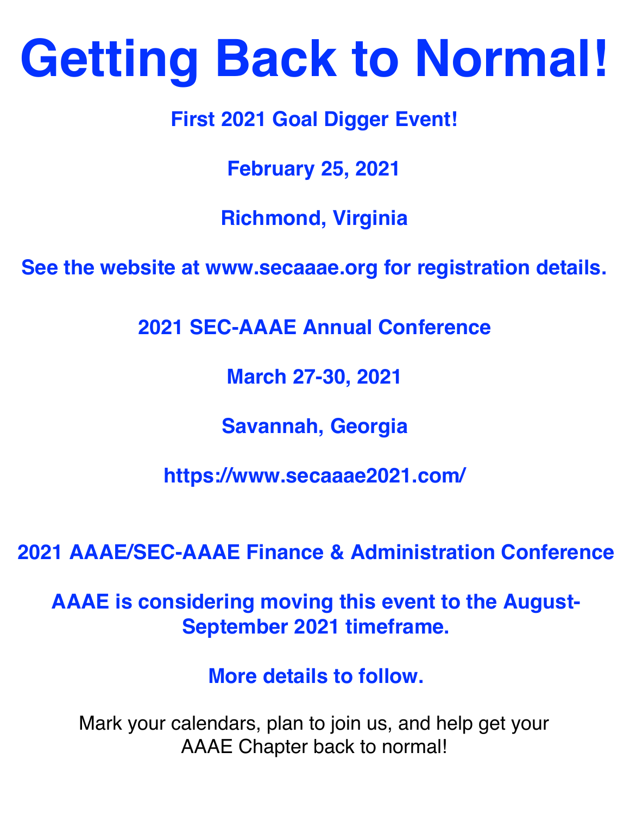# **Getting Back to Normal!**

**First 2021 Goal Digger Event!**

**February 25, 2021**

**Richmond, Virginia**

**See the website at www.secaaae.org for registration details.**

**2021 SEC-AAAE Annual Conference**

**March 27-30, 2021**

**Savannah, Georgia**

**<https://www.secaaae2021.com/>**

**2021 AAAE/SEC-AAAE Finance & Administration Conference**

**AAAE is considering moving this event to the August-September 2021 timeframe.**

**More details to follow.**

Mark your calendars, plan to join us, and help get your AAAE Chapter back to normal!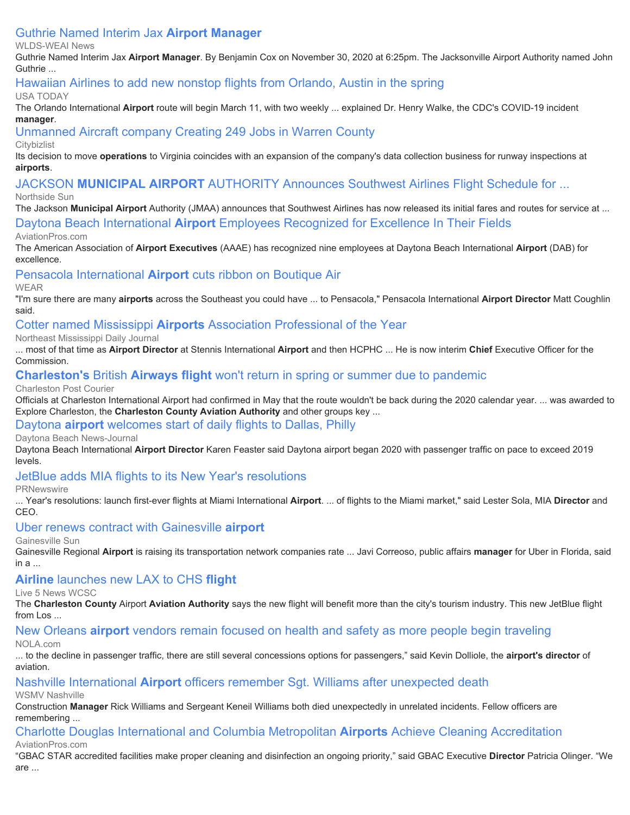# [Guthrie Named Interim Jax](https://www.google.com/url?rct=j&sa=t&url=https://wlds.com/guthrie-named-interim-jax-airport-manager/&ct=ga&cd=CAEYACoUMTM3MTU1NjYxOTA2MzU2ODUyMDIyHDhlY2I2NzFkZWZlZDY4MWU6Y29tOmVuOlVTOlI&usg=AFQjCNHbfJyuu36QOO1MgEiHCXH3FFJDGQ) **[Airport Manager](https://www.google.com/url?rct=j&sa=t&url=https://wlds.com/guthrie-named-interim-jax-airport-manager/&ct=ga&cd=CAEYACoUMTM3MTU1NjYxOTA2MzU2ODUyMDIyHDhlY2I2NzFkZWZlZDY4MWU6Y29tOmVuOlVTOlI&usg=AFQjCNHbfJyuu36QOO1MgEiHCXH3FFJDGQ)**

WLDS-WEAI News

Guthrie Named Interim Jax **Airport Manager**. By Benjamin Cox on November 30, 2020 at 6:25pm. The Jacksonville Airport Authority named John Guthrie ...

#### [Hawaiian Airlines to add new nonstop flights from Orlando, Austin in the spring](https://www.google.com/url?rct=j&sa=t&url=https://www.usatoday.com/story/travel/airline-news/2020/12/09/hawaiian-airlines-adds-new-nonstop-flights-orlando-austin/6504973002/&ct=ga&cd=CAEYIioTNDI3NDYyNzI0MTI0MTM2MzYzOTIcOGVjYjY3MWRlZmVkNjgxZTpjb206ZW46VVM6Ug&usg=AFQjCNGMsEGwa7gIOff22mvS6JS3qiRpOw)

#### USA TODAY

The Orlando International **Airport** route will begin March 11, with two weekly ... explained Dr. Henry Walke, the CDC's COVID-19 incident **manager**.

[Unmanned Aircraft company Creating 249 Jobs in Warren County](https://www.google.com/url?rct=j&sa=t&url=https://dc.citybizlist.com/article/642526/unmanned-aircraft-company-creating-249-jobs-in-warren-county&ct=ga&cd=CAEYKyoTNDI3NDYyNzI0MTI0MTM2MzYzOTIcOGVjYjY3MWRlZmVkNjgxZTpjb206ZW46VVM6Ug&usg=AFQjCNFDhFgT4JQg5eZGLsJLr_QMwH5F_w)

#### **Citybizlist**

Its decision to move **operations** to Virginia coincides with an expansion of the company's data collection business for runway inspections at **airports**.

[JACKSON](https://www.google.com/url?rct=j&sa=t&url=https://www.northsidesun.com/most-recent/jackson-municipal-airport-authority-announces-southwest-airlines-flight-schedule-2021&ct=ga&cd=CAEYACoUMTA1Nzg2OTYxMzA2Njg2OTAxODkyGjEyYzMwOTdlZDc1NDlmN2U6Y29tOmVuOlVT&usg=AFQjCNG9RldNWdIkq1uw2lq9TV884U26wA) **[MUNICIPAL AIRPORT](https://www.google.com/url?rct=j&sa=t&url=https://www.northsidesun.com/most-recent/jackson-municipal-airport-authority-announces-southwest-airlines-flight-schedule-2021&ct=ga&cd=CAEYACoUMTA1Nzg2OTYxMzA2Njg2OTAxODkyGjEyYzMwOTdlZDc1NDlmN2U6Y29tOmVuOlVT&usg=AFQjCNG9RldNWdIkq1uw2lq9TV884U26wA)** [AUTHORITY Announces Southwest Airlines Flight Schedule for ...](https://www.google.com/url?rct=j&sa=t&url=https://www.northsidesun.com/most-recent/jackson-municipal-airport-authority-announces-southwest-airlines-flight-schedule-2021&ct=ga&cd=CAEYACoUMTA1Nzg2OTYxMzA2Njg2OTAxODkyGjEyYzMwOTdlZDc1NDlmN2U6Y29tOmVuOlVT&usg=AFQjCNG9RldNWdIkq1uw2lq9TV884U26wA)

#### Northside Sun

The Jackson **Municipal Airport** Authority (JMAA) announces that Southwest Airlines has now released its initial fares and routes for service at ...

[Daytona Beach International](https://www.google.com/url?rct=j&sa=t&url=https://www.aviationpros.com/airports/press-release/21202170/daytona-beach-international-airport-dab-daytona-beach-international-airport-employees-recognized-for-excellence-in-their-fields&ct=ga&cd=CAEYACoUMTI2MTc1NzY5MDA2MTA5MDQ3MTQyHDE0ODBmMGNhZjliMjExMmU6Y29tOmVuOlVTOlI&usg=AFQjCNFSxX37uZf0u97H-KC-lwGVZ7sdOw) **[Airport](https://www.google.com/url?rct=j&sa=t&url=https://www.aviationpros.com/airports/press-release/21202170/daytona-beach-international-airport-dab-daytona-beach-international-airport-employees-recognized-for-excellence-in-their-fields&ct=ga&cd=CAEYACoUMTI2MTc1NzY5MDA2MTA5MDQ3MTQyHDE0ODBmMGNhZjliMjExMmU6Y29tOmVuOlVTOlI&usg=AFQjCNFSxX37uZf0u97H-KC-lwGVZ7sdOw)** [Employees Recognized for Excellence In Their Fields](https://www.google.com/url?rct=j&sa=t&url=https://www.aviationpros.com/airports/press-release/21202170/daytona-beach-international-airport-dab-daytona-beach-international-airport-employees-recognized-for-excellence-in-their-fields&ct=ga&cd=CAEYACoUMTI2MTc1NzY5MDA2MTA5MDQ3MTQyHDE0ODBmMGNhZjliMjExMmU6Y29tOmVuOlVTOlI&usg=AFQjCNFSxX37uZf0u97H-KC-lwGVZ7sdOw)

#### AviationPros.com

The American Association of **Airport Executives** (AAAE) has recognized nine employees at Daytona Beach International **Airport** (DAB) for excellence.

## [Pensacola International](https://www.google.com/url?rct=j&sa=t&url=https://weartv.com/news/local/pensacola-international-airport-cuts-ribbon-on-boutique-air&ct=ga&cd=CAEYACoUMTE1MDY4NzUxMTAzNDY3NDk3OTAyHDE0ODBmMGNhZjliMjExMmU6Y29tOmVuOlVTOlI&usg=AFQjCNE_Rdcf9QsCuHkJA24YXTvhC-HcFA) **[Airport](https://www.google.com/url?rct=j&sa=t&url=https://weartv.com/news/local/pensacola-international-airport-cuts-ribbon-on-boutique-air&ct=ga&cd=CAEYACoUMTE1MDY4NzUxMTAzNDY3NDk3OTAyHDE0ODBmMGNhZjliMjExMmU6Y29tOmVuOlVTOlI&usg=AFQjCNE_Rdcf9QsCuHkJA24YXTvhC-HcFA)** [cuts ribbon on Boutique Air](https://www.google.com/url?rct=j&sa=t&url=https://weartv.com/news/local/pensacola-international-airport-cuts-ribbon-on-boutique-air&ct=ga&cd=CAEYACoUMTE1MDY4NzUxMTAzNDY3NDk3OTAyHDE0ODBmMGNhZjliMjExMmU6Y29tOmVuOlVTOlI&usg=AFQjCNE_Rdcf9QsCuHkJA24YXTvhC-HcFA)

WEAR

"I'm sure there are many **airports** across the Southeast you could have ... to Pensacola," Pensacola International **Airport Director** Matt Coughlin said.

#### [Cotter named Mississippi](https://www.google.com/url?rct=j&sa=t&url=https://www.djournal.com/mbj/cotter-named-mississippi-airports-association-professional-of-the-year/article_a65f31a4-3fb6-11eb-8ad2-474578f6ec96.html&ct=ga&cd=CAEYACoUMTU2NzUxNTI3NTg5MzQ3NjIxNDkyHDE0ODBmMGNhZjliMjExMmU6Y29tOmVuOlVTOlI&usg=AFQjCNGdhJ4I7D2OymqCiLl7g9LXiv37tg) **[Airports](https://www.google.com/url?rct=j&sa=t&url=https://www.djournal.com/mbj/cotter-named-mississippi-airports-association-professional-of-the-year/article_a65f31a4-3fb6-11eb-8ad2-474578f6ec96.html&ct=ga&cd=CAEYACoUMTU2NzUxNTI3NTg5MzQ3NjIxNDkyHDE0ODBmMGNhZjliMjExMmU6Y29tOmVuOlVTOlI&usg=AFQjCNGdhJ4I7D2OymqCiLl7g9LXiv37tg)** [Association Professional of the Year](https://www.google.com/url?rct=j&sa=t&url=https://www.djournal.com/mbj/cotter-named-mississippi-airports-association-professional-of-the-year/article_a65f31a4-3fb6-11eb-8ad2-474578f6ec96.html&ct=ga&cd=CAEYACoUMTU2NzUxNTI3NTg5MzQ3NjIxNDkyHDE0ODBmMGNhZjliMjExMmU6Y29tOmVuOlVTOlI&usg=AFQjCNGdhJ4I7D2OymqCiLl7g9LXiv37tg)

Northeast Mississippi Daily Journal

... most of that time as **Airport Director** at Stennis International **Airport** and then HCPHC ... He is now interim **Chief** Executive Officer for the Commission.

#### **[Charleston's](https://www.google.com/url?rct=j&sa=t&url=https://www.postandcourier.com/business/charlestons-british-airways-flight-wont-return-in-spring-or-summer-due-to-pandemic/article_3f6347e2-3fd4-11eb-bc84-a34c9a3b5832.html&ct=ga&cd=CAEYACoSNDE4NzE0Mjk0MTU2NjAwMTIwMhozMjY4ZjVmY2Q2NDYyMzJjOmNvbTplbjpVUw&usg=AFQjCNEGKxd__T0cP_X4gKwjRuto7lpJMw)** [British](https://www.google.com/url?rct=j&sa=t&url=https://www.postandcourier.com/business/charlestons-british-airways-flight-wont-return-in-spring-or-summer-due-to-pandemic/article_3f6347e2-3fd4-11eb-bc84-a34c9a3b5832.html&ct=ga&cd=CAEYACoSNDE4NzE0Mjk0MTU2NjAwMTIwMhozMjY4ZjVmY2Q2NDYyMzJjOmNvbTplbjpVUw&usg=AFQjCNEGKxd__T0cP_X4gKwjRuto7lpJMw) **[Airways flight](https://www.google.com/url?rct=j&sa=t&url=https://www.postandcourier.com/business/charlestons-british-airways-flight-wont-return-in-spring-or-summer-due-to-pandemic/article_3f6347e2-3fd4-11eb-bc84-a34c9a3b5832.html&ct=ga&cd=CAEYACoSNDE4NzE0Mjk0MTU2NjAwMTIwMhozMjY4ZjVmY2Q2NDYyMzJjOmNvbTplbjpVUw&usg=AFQjCNEGKxd__T0cP_X4gKwjRuto7lpJMw)** [won't return in spring or summer due to pandemic](https://www.google.com/url?rct=j&sa=t&url=https://www.postandcourier.com/business/charlestons-british-airways-flight-wont-return-in-spring-or-summer-due-to-pandemic/article_3f6347e2-3fd4-11eb-bc84-a34c9a3b5832.html&ct=ga&cd=CAEYACoSNDE4NzE0Mjk0MTU2NjAwMTIwMhozMjY4ZjVmY2Q2NDYyMzJjOmNvbTplbjpVUw&usg=AFQjCNEGKxd__T0cP_X4gKwjRuto7lpJMw)

Charleston Post Courier

Officials at Charleston International Airport had confirmed in May that the route wouldn't be back during the 2020 calendar year. ... was awarded to Explore Charleston, the **Charleston County Aviation Authority** and other groups key ...

#### [Daytona](https://www.google.com/url?rct=j&sa=t&url=https://www.news-journalonline.com/story/business/travel/2020/12/17/american-airlines-adds-nonstop-service-daytona-dallas-philly/3919865001/&ct=ga&cd=CAEYASoTNDQ2NzI3MDY0NjIyMjY4NDY1ODIcOGVjYjY3MWRlZmVkNjgxZTpjb206ZW46VVM6Ug&usg=AFQjCNFJwnvesW4Wo0nTn08ZpBnvyc7zOQ) **[airport](https://www.google.com/url?rct=j&sa=t&url=https://www.news-journalonline.com/story/business/travel/2020/12/17/american-airlines-adds-nonstop-service-daytona-dallas-philly/3919865001/&ct=ga&cd=CAEYASoTNDQ2NzI3MDY0NjIyMjY4NDY1ODIcOGVjYjY3MWRlZmVkNjgxZTpjb206ZW46VVM6Ug&usg=AFQjCNFJwnvesW4Wo0nTn08ZpBnvyc7zOQ)** [welcomes start of daily flights to Dallas, Philly](https://www.google.com/url?rct=j&sa=t&url=https://www.news-journalonline.com/story/business/travel/2020/12/17/american-airlines-adds-nonstop-service-daytona-dallas-philly/3919865001/&ct=ga&cd=CAEYASoTNDQ2NzI3MDY0NjIyMjY4NDY1ODIcOGVjYjY3MWRlZmVkNjgxZTpjb206ZW46VVM6Ug&usg=AFQjCNFJwnvesW4Wo0nTn08ZpBnvyc7zOQ)

Daytona Beach News-Journal

Daytona Beach International **Airport Director** Karen Feaster said Daytona airport began 2020 with passenger traffic on pace to exceed 2019 levels.

#### [JetBlue adds MIA flights to its New Year's resolutions](https://www.google.com/url?rct=j&sa=t&url=https://www.prnewswire.com/news-releases/jetblue-adds-mia-flights-to-its-new-years-resolutions-301195360.html&ct=ga&cd=CAEYBioTNDQ2NzI3MDY0NjIyMjY4NDY1ODIcOGVjYjY3MWRlZmVkNjgxZTpjb206ZW46VVM6Ug&usg=AFQjCNHEAFAxI3FmT-t06kkGp9FTgEpz_w)

**PRNewswire** 

... Year's resolutions: launch first-ever flights at Miami International **Airport**. ... of flights to the Miami market," said Lester Sola, MIA **Director** and CEO.

#### [Uber renews contract with Gainesville](https://www.google.com/url?rct=j&sa=t&url=https://www.gainesville.com/story/business/2020/12/17/uber-renews-contract-gainesville-airport/3940537001/&ct=ga&cd=CAEYEyoTNDQ2NzI3MDY0NjIyMjY4NDY1ODIcOGVjYjY3MWRlZmVkNjgxZTpjb206ZW46VVM6Ug&usg=AFQjCNHcsGoz0drueyYj22vW5ydiJ8KSXg) **[airport](https://www.google.com/url?rct=j&sa=t&url=https://www.gainesville.com/story/business/2020/12/17/uber-renews-contract-gainesville-airport/3940537001/&ct=ga&cd=CAEYEyoTNDQ2NzI3MDY0NjIyMjY4NDY1ODIcOGVjYjY3MWRlZmVkNjgxZTpjb206ZW46VVM6Ug&usg=AFQjCNHcsGoz0drueyYj22vW5ydiJ8KSXg)**

Gainesville Sun

Gainesville Regional **Airport** is raising its transportation network companies rate ... Javi Correoso, public affairs **manager** for Uber in Florida, said  $in a...$ 

# **[Airline](https://www.google.com/url?rct=j&sa=t&url=https://www.live5news.com/2020/12/18/airline-launches-new-lax-chs-flight/&ct=ga&cd=CAEYACoUMTcxMjMwMjM1NDQwMDgwOTI1ODcyGjMyNjhmNWZjZDY0NjIzMmM6Y29tOmVuOlVT&usg=AFQjCNEdj2jPLRUUIy33-A0Ahy_EUMUS0g)** [launches new LAX to CHS](https://www.google.com/url?rct=j&sa=t&url=https://www.live5news.com/2020/12/18/airline-launches-new-lax-chs-flight/&ct=ga&cd=CAEYACoUMTcxMjMwMjM1NDQwMDgwOTI1ODcyGjMyNjhmNWZjZDY0NjIzMmM6Y29tOmVuOlVT&usg=AFQjCNEdj2jPLRUUIy33-A0Ahy_EUMUS0g) **[flight](https://www.google.com/url?rct=j&sa=t&url=https://www.live5news.com/2020/12/18/airline-launches-new-lax-chs-flight/&ct=ga&cd=CAEYACoUMTcxMjMwMjM1NDQwMDgwOTI1ODcyGjMyNjhmNWZjZDY0NjIzMmM6Y29tOmVuOlVT&usg=AFQjCNEdj2jPLRUUIy33-A0Ahy_EUMUS0g)**

Live 5 News WCSC

The **Charleston County** Airport **Aviation Authority** says the new flight will benefit more than the city's tourism industry. This new JetBlue flight from Los ...

#### [New Orleans](https://www.google.com/url?rct=j&sa=t&url=https://www.nola.com/sponsored/louis_armstrong_new_orleans_international_airport/article_d5c73016-3f13-11eb-90bc-a718c5073b38.html&ct=ga&cd=CAEYACoSNzQyOTYwNDE5NjAyMDg1MjkwMhw4ZWNiNjcxZGVmZWQ2ODFlOmNvbTplbjpVUzpS&usg=AFQjCNFIAOyWJy0OheUDL-AgKfxrjKruxg) **[airport](https://www.google.com/url?rct=j&sa=t&url=https://www.nola.com/sponsored/louis_armstrong_new_orleans_international_airport/article_d5c73016-3f13-11eb-90bc-a718c5073b38.html&ct=ga&cd=CAEYACoSNzQyOTYwNDE5NjAyMDg1MjkwMhw4ZWNiNjcxZGVmZWQ2ODFlOmNvbTplbjpVUzpS&usg=AFQjCNFIAOyWJy0OheUDL-AgKfxrjKruxg)** [vendors remain focused on health and safety as more people begin traveling](https://www.google.com/url?rct=j&sa=t&url=https://www.nola.com/sponsored/louis_armstrong_new_orleans_international_airport/article_d5c73016-3f13-11eb-90bc-a718c5073b38.html&ct=ga&cd=CAEYACoSNzQyOTYwNDE5NjAyMDg1MjkwMhw4ZWNiNjcxZGVmZWQ2ODFlOmNvbTplbjpVUzpS&usg=AFQjCNFIAOyWJy0OheUDL-AgKfxrjKruxg)

NOLA.com

... to the decline in passenger traffic, there are still several concessions options for passengers," said Kevin Dolliole, the **airport's director** of aviation.

#### [Nashville International](https://www.google.com/url?rct=j&sa=t&url=https://www.wsmv.com/news/nashville-international-airport-officers-remember-sgt-williams-after-unexpected-death/article_0d90abd4-43f2-11eb-ab03-dbe326a75f51.html&ct=ga&cd=CAEYACoUMTg0MTYyMzk4NzM5NDE1OTM1OTYyHDhlY2I2NzFkZWZlZDY4MWU6Y29tOmVuOlVTOlI&usg=AFQjCNEStOWTY52w9qKwHT8EtKADngG3Pw) **[Airport](https://www.google.com/url?rct=j&sa=t&url=https://www.wsmv.com/news/nashville-international-airport-officers-remember-sgt-williams-after-unexpected-death/article_0d90abd4-43f2-11eb-ab03-dbe326a75f51.html&ct=ga&cd=CAEYACoUMTg0MTYyMzk4NzM5NDE1OTM1OTYyHDhlY2I2NzFkZWZlZDY4MWU6Y29tOmVuOlVTOlI&usg=AFQjCNEStOWTY52w9qKwHT8EtKADngG3Pw)** [officers remember Sgt. Williams after unexpected death](https://www.google.com/url?rct=j&sa=t&url=https://www.wsmv.com/news/nashville-international-airport-officers-remember-sgt-williams-after-unexpected-death/article_0d90abd4-43f2-11eb-ab03-dbe326a75f51.html&ct=ga&cd=CAEYACoUMTg0MTYyMzk4NzM5NDE1OTM1OTYyHDhlY2I2NzFkZWZlZDY4MWU6Y29tOmVuOlVTOlI&usg=AFQjCNEStOWTY52w9qKwHT8EtKADngG3Pw)

WSMV Nashville

Construction **Manager** Rick Williams and Sergeant Keneil Williams both died unexpectedly in unrelated incidents. Fellow officers are remembering ...

#### [Charlotte Douglas International and Columbia Metropolitan](https://www.google.com/url?rct=j&sa=t&url=https://www.aviationpros.com/airports/press-release/21203434/issa-charlotte-douglas-international-and-columbia-metropolitan-airports-achieve-cleaning-accreditation&ct=ga&cd=CAEYBCoTNTA0NjU2MDQyNjE3OTkwNTIwMzIcMTQ4MGYwY2FmOWIyMTEyZTpjb206ZW46VVM6Ug&usg=AFQjCNFTZiETHYcq16iYJWLNnJlunQ79QQ) **[Airports](https://www.google.com/url?rct=j&sa=t&url=https://www.aviationpros.com/airports/press-release/21203434/issa-charlotte-douglas-international-and-columbia-metropolitan-airports-achieve-cleaning-accreditation&ct=ga&cd=CAEYBCoTNTA0NjU2MDQyNjE3OTkwNTIwMzIcMTQ4MGYwY2FmOWIyMTEyZTpjb206ZW46VVM6Ug&usg=AFQjCNFTZiETHYcq16iYJWLNnJlunQ79QQ)** [Achieve Cleaning Accreditation](https://www.google.com/url?rct=j&sa=t&url=https://www.aviationpros.com/airports/press-release/21203434/issa-charlotte-douglas-international-and-columbia-metropolitan-airports-achieve-cleaning-accreditation&ct=ga&cd=CAEYBCoTNTA0NjU2MDQyNjE3OTkwNTIwMzIcMTQ4MGYwY2FmOWIyMTEyZTpjb206ZW46VVM6Ug&usg=AFQjCNFTZiETHYcq16iYJWLNnJlunQ79QQ)

AviationPros.com

"GBAC STAR accredited facilities make proper cleaning and disinfection an ongoing priority," said GBAC Executive **Director** Patricia Olinger. "We are ...